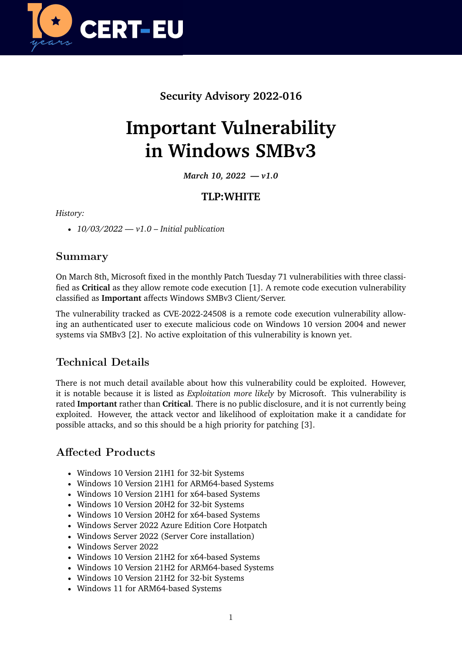

# **Security Advisory 2022-016**

# **Important Vulnerability in Windows SMBv3**

*March 10, 2022 — v1.0*

## **TLP:WHITE**

*History:*

• *10/03/2022 — v1.0 – Initial publication*

# **Summary**

On March 8th, Microsoft fixed in the monthly Patch Tuesday 71 vulnerabilities with three classified as **Critical** as they allow remote code execution [1]. A remote code execution vulnerability classified as **Important** affects Windows SMBv3 Client/Server.

The vulnerability tracked as CVE-2022-24508 is a remote code execution vulnerability allowing an authenticated user to execute malicious code on Windows 10 version 2004 and newer systems via SMBv3 [2]. No active exploitation of this vulnerability is known yet.

# **Technical Details**

There is not much detail available about how this vulnerability could be exploited. However, it is notable because it is listed as *Exploitation more likely* by Microsoft. This vulnerability is rated **Important** rather than **Critical**. There is no public disclosure, and it is not currently being exploited. However, the attack vector and likelihood of exploitation make it a candidate for possible attacks, and so this should be a high priority for patching [3].

# **Affected Products**

- Windows 10 Version 21H1 for 32-bit Systems
- Windows 10 Version 21H1 for ARM64-based Systems
- Windows 10 Version 21H1 for x64-based Systems
- Windows 10 Version 20H2 for 32-bit Systems
- Windows 10 Version 20H2 for x64-based Systems
- Windows Server 2022 Azure Edition Core Hotpatch
- Windows Server 2022 (Server Core installation)
- Windows Server 2022
- Windows 10 Version 21H2 for x64-based Systems
- Windows 10 Version 21H2 for ARM64-based Systems
- Windows 10 Version 21H2 for 32-bit Systems
- Windows 11 for ARM64-based Systems